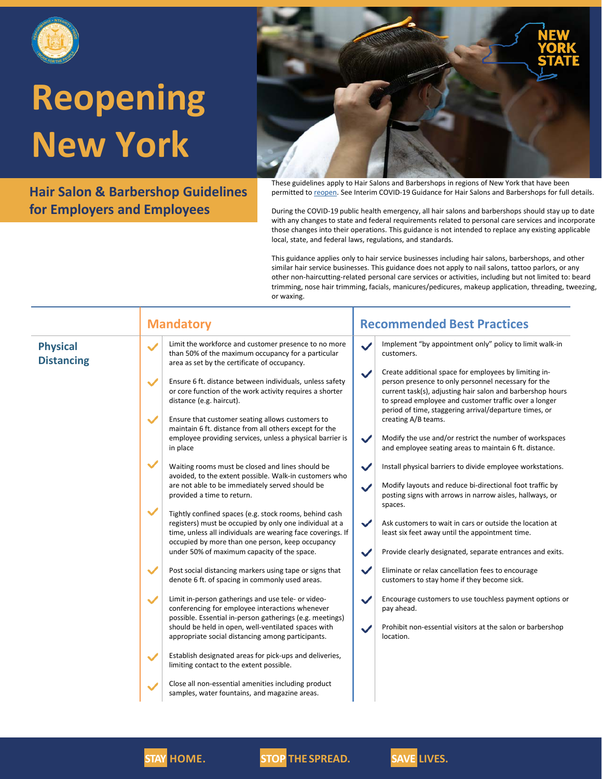

**Hair Salon & Barbershop Guidelines for Employers and Employees**



These guidelines apply to Hair Salons and Barbershops in regions of New York that have been permitted to [reopen.](https://forward.ny.gov/regional-monitoring-dashboard) See Interim COVID-19 Guidance for Hair Salons and Barbershops for full details.

During the COVID-19 public health emergency, all hair salons and barbershops should stay up to date with any changes to state and federal requirements related to personal care services and incorporate those changes into their operations. This guidance is not intended to replace any existing applicable local, state, and federal laws, regulations, and standards.

This guidance applies only to hair service businesses including hair salons, barbershops, and other similar hair service businesses. This guidance does not apply to nail salons, tattoo parlors, or any other non-haircutting-related personal care services or activities, including but not limited to: beard trimming, nose hair trimming, facials, manicures/pedicures, makeup application, threading, tweezing, or waxing.

|                                      | <b>Mandatory</b>                                                                                                                                                                                                                                     | <b>Recommended Best Practices</b>                                                                                                                                                                                                                                                                             |
|--------------------------------------|------------------------------------------------------------------------------------------------------------------------------------------------------------------------------------------------------------------------------------------------------|---------------------------------------------------------------------------------------------------------------------------------------------------------------------------------------------------------------------------------------------------------------------------------------------------------------|
| <b>Physical</b><br><b>Distancing</b> | Limit the workforce and customer presence to no more<br>$\checkmark$<br>than 50% of the maximum occupancy for a particular<br>area as set by the certificate of occupancy.                                                                           | Implement "by appointment only" policy to limit walk-in<br>$\checkmark$<br>customers.                                                                                                                                                                                                                         |
|                                      | $\checkmark$<br>Ensure 6 ft. distance between individuals, unless safety<br>or core function of the work activity requires a shorter<br>distance (e.g. haircut).                                                                                     | Create additional space for employees by limiting in-<br>$\checkmark$<br>person presence to only personnel necessary for the<br>current task(s), adjusting hair salon and barbershop hours<br>to spread employee and customer traffic over a longer<br>period of time, staggering arrival/departure times, or |
|                                      | $\checkmark$<br>Ensure that customer seating allows customers to<br>maintain 6 ft. distance from all others except for the                                                                                                                           | creating A/B teams.                                                                                                                                                                                                                                                                                           |
|                                      | employee providing services, unless a physical barrier is<br>in place                                                                                                                                                                                | $\checkmark$<br>Modify the use and/or restrict the number of workspaces<br>and employee seating areas to maintain 6 ft. distance.                                                                                                                                                                             |
|                                      | $\checkmark$<br>Waiting rooms must be closed and lines should be<br>avoided, to the extent possible. Walk-in customers who                                                                                                                           | $\checkmark$<br>Install physical barriers to divide employee workstations.                                                                                                                                                                                                                                    |
|                                      | are not able to be immediately served should be<br>provided a time to return.                                                                                                                                                                        | Modify layouts and reduce bi-directional foot traffic by<br>$\checkmark$<br>posting signs with arrows in narrow aisles, hallways, or<br>spaces.                                                                                                                                                               |
|                                      | $\checkmark$<br>Tightly confined spaces (e.g. stock rooms, behind cash<br>registers) must be occupied by only one individual at a<br>time, unless all individuals are wearing face coverings. If<br>occupied by more than one person, keep occupancy | $\checkmark$<br>Ask customers to wait in cars or outside the location at<br>least six feet away until the appointment time.                                                                                                                                                                                   |
|                                      | under 50% of maximum capacity of the space.                                                                                                                                                                                                          | Provide clearly designated, separate entrances and exits.<br>$\checkmark$                                                                                                                                                                                                                                     |
|                                      | $\checkmark$<br>Post social distancing markers using tape or signs that<br>denote 6 ft. of spacing in commonly used areas.                                                                                                                           | $\checkmark$<br>Eliminate or relax cancellation fees to encourage<br>customers to stay home if they become sick.                                                                                                                                                                                              |
|                                      | Limit in-person gatherings and use tele- or video-<br>$\checkmark$<br>conferencing for employee interactions whenever<br>possible. Essential in-person gatherings (e.g. meetings)                                                                    | Encourage customers to use touchless payment options or<br>$\checkmark$<br>pay ahead.                                                                                                                                                                                                                         |
|                                      | should be held in open, well-ventilated spaces with<br>appropriate social distancing among participants.                                                                                                                                             | Prohibit non-essential visitors at the salon or barbershop<br>$\checkmark$<br>location.                                                                                                                                                                                                                       |
|                                      | Establish designated areas for pick-ups and deliveries,<br>$\checkmark$<br>limiting contact to the extent possible.                                                                                                                                  |                                                                                                                                                                                                                                                                                                               |
|                                      | Close all non-essential amenities including product<br>samples, water fountains, and magazine areas.                                                                                                                                                 |                                                                                                                                                                                                                                                                                                               |



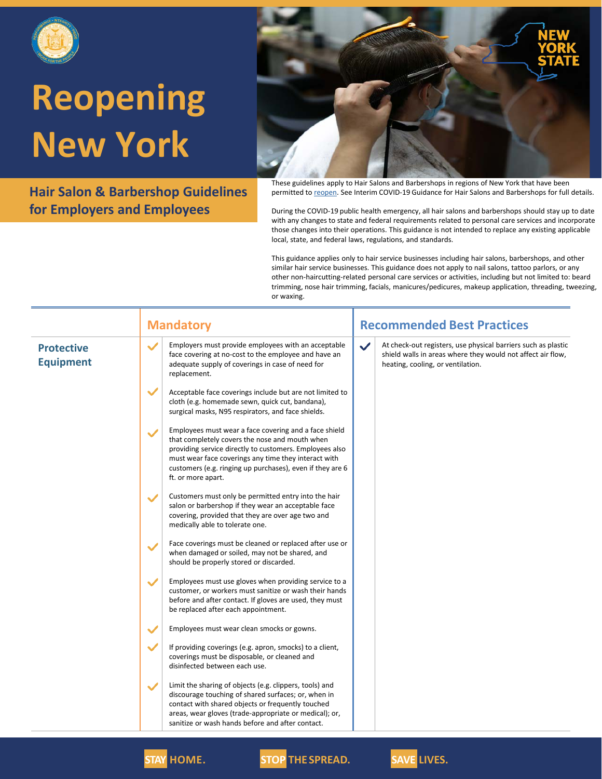

**Hair Salon & Barbershop Guidelines for Employers and Employees**



These guidelines apply to Hair Salons and Barbershops in regions of New York that have been permitted to [reopen.](https://forward.ny.gov/regional-monitoring-dashboard) See Interim COVID-19 Guidance for Hair Salons and Barbershops for full details.

During the COVID-19 public health emergency, all hair salons and barbershops should stay up to date with any changes to state and federal requirements related to personal care services and incorporate those changes into their operations. This guidance is not intended to replace any existing applicable local, state, and federal laws, regulations, and standards.

This guidance applies only to hair service businesses including hair salons, barbershops, and other similar hair service businesses. This guidance does not apply to nail salons, tattoo parlors, or any other non-haircutting-related personal care services or activities, including but not limited to: beard trimming, nose hair trimming, facials, manicures/pedicures, makeup application, threading, tweezing, or waxing.

|                                       | <b>Mandatory</b>                                                                                                                                                                                                                                                                                                              | <b>Recommended Best Practices</b>                                                                                                                                                 |
|---------------------------------------|-------------------------------------------------------------------------------------------------------------------------------------------------------------------------------------------------------------------------------------------------------------------------------------------------------------------------------|-----------------------------------------------------------------------------------------------------------------------------------------------------------------------------------|
| <b>Protective</b><br><b>Equipment</b> | Employers must provide employees with an acceptable<br>$\checkmark$<br>face covering at no-cost to the employee and have an<br>adequate supply of coverings in case of need for<br>replacement.                                                                                                                               | $\checkmark$<br>At check-out registers, use physical barriers such as plastic<br>shield walls in areas where they would not affect air flow,<br>heating, cooling, or ventilation. |
|                                       | $\checkmark$<br>Acceptable face coverings include but are not limited to<br>cloth (e.g. homemade sewn, quick cut, bandana),<br>surgical masks, N95 respirators, and face shields.                                                                                                                                             |                                                                                                                                                                                   |
|                                       | Employees must wear a face covering and a face shield<br>$\checkmark$<br>that completely covers the nose and mouth when<br>providing service directly to customers. Employees also<br>must wear face coverings any time they interact with<br>customers (e.g. ringing up purchases), even if they are 6<br>ft. or more apart. |                                                                                                                                                                                   |
|                                       | Customers must only be permitted entry into the hair<br>salon or barbershop if they wear an acceptable face<br>covering, provided that they are over age two and<br>medically able to tolerate one.                                                                                                                           |                                                                                                                                                                                   |
|                                       | Face coverings must be cleaned or replaced after use or<br>when damaged or soiled, may not be shared, and<br>should be properly stored or discarded.                                                                                                                                                                          |                                                                                                                                                                                   |
|                                       | Employees must use gloves when providing service to a<br>$\checkmark$<br>customer, or workers must sanitize or wash their hands<br>before and after contact. If gloves are used, they must<br>be replaced after each appointment.                                                                                             |                                                                                                                                                                                   |
|                                       | Employees must wear clean smocks or gowns.<br>$\checkmark$                                                                                                                                                                                                                                                                    |                                                                                                                                                                                   |
|                                       | $\checkmark$<br>If providing coverings (e.g. apron, smocks) to a client,<br>coverings must be disposable, or cleaned and<br>disinfected between each use.                                                                                                                                                                     |                                                                                                                                                                                   |
|                                       | Limit the sharing of objects (e.g. clippers, tools) and<br>$\checkmark$<br>discourage touching of shared surfaces; or, when in<br>contact with shared objects or frequently touched<br>areas, wear gloves (trade-appropriate or medical); or,<br>sanitize or wash hands before and after contact.                             |                                                                                                                                                                                   |
|                                       |                                                                                                                                                                                                                                                                                                                               |                                                                                                                                                                                   |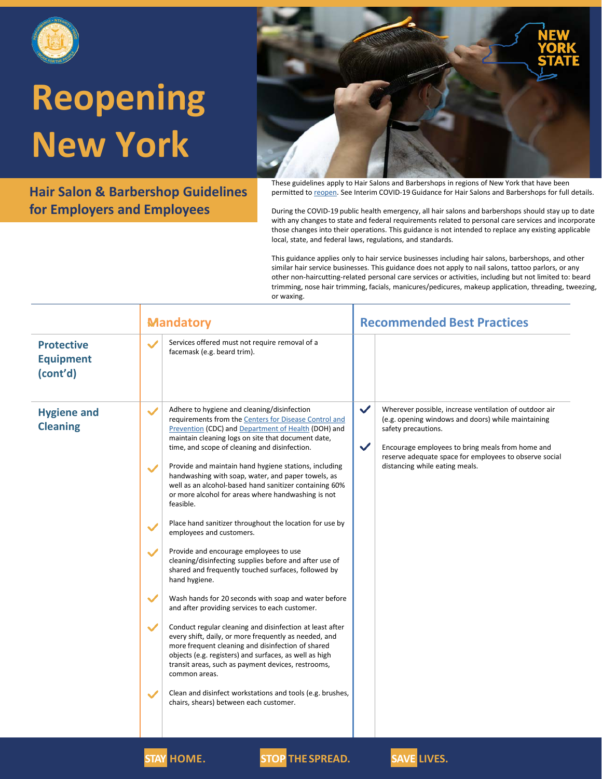

**Hair Salon & Barbershop Guidelines for Employers and Employees**



These guidelines apply to Hair Salons and Barbershops in regions of New York that have been permitted to [reopen.](https://forward.ny.gov/regional-monitoring-dashboard) See Interim COVID-19 Guidance for Hair Salons and Barbershops for full details.

During the COVID-19 public health emergency, all hair salons and barbershops should stay up to date with any changes to state and federal requirements related to personal care services and incorporate those changes into their operations. This guidance is not intended to replace any existing applicable local, state, and federal laws, regulations, and standards.

This guidance applies only to hair service businesses including hair salons, barbershops, and other similar hair service businesses. This guidance does not apply to nail salons, tattoo parlors, or any other non-haircutting-related personal care services or activities, including but not limited to: beard trimming, nose hair trimming, facials, manicures/pedicures, makeup application, threading, tweezing, or waxing.

|                                                   | <b>Mandatory</b>                                                                                                                                                                                                                                                                                                                                                                                                                                                                                                                                                                                                                                                                                                                                                                                                                                                                                                                                                                                                                                                                                                                                                                                                                                                                                                                                                                                                              | <b>Recommended Best Practices</b>                                                                                                                                                                                                                                                                                   |
|---------------------------------------------------|-------------------------------------------------------------------------------------------------------------------------------------------------------------------------------------------------------------------------------------------------------------------------------------------------------------------------------------------------------------------------------------------------------------------------------------------------------------------------------------------------------------------------------------------------------------------------------------------------------------------------------------------------------------------------------------------------------------------------------------------------------------------------------------------------------------------------------------------------------------------------------------------------------------------------------------------------------------------------------------------------------------------------------------------------------------------------------------------------------------------------------------------------------------------------------------------------------------------------------------------------------------------------------------------------------------------------------------------------------------------------------------------------------------------------------|---------------------------------------------------------------------------------------------------------------------------------------------------------------------------------------------------------------------------------------------------------------------------------------------------------------------|
| <b>Protective</b><br><b>Equipment</b><br>(cont'd) | Services offered must not require removal of a<br>facemask (e.g. beard trim).                                                                                                                                                                                                                                                                                                                                                                                                                                                                                                                                                                                                                                                                                                                                                                                                                                                                                                                                                                                                                                                                                                                                                                                                                                                                                                                                                 |                                                                                                                                                                                                                                                                                                                     |
| <b>Hygiene and</b><br><b>Cleaning</b>             | Adhere to hygiene and cleaning/disinfection<br>$\checkmark$<br>requirements from the Centers for Disease Control and<br>Prevention (CDC) and Department of Health (DOH) and<br>maintain cleaning logs on site that document date,<br>time, and scope of cleaning and disinfection.<br>Provide and maintain hand hygiene stations, including<br>$\checkmark$<br>handwashing with soap, water, and paper towels, as<br>well as an alcohol-based hand sanitizer containing 60%<br>or more alcohol for areas where handwashing is not<br>feasible.<br>Place hand sanitizer throughout the location for use by<br>$\checkmark$<br>employees and customers.<br>Provide and encourage employees to use<br>$\checkmark$<br>cleaning/disinfecting supplies before and after use of<br>shared and frequently touched surfaces, followed by<br>hand hygiene.<br>$\checkmark$<br>Wash hands for 20 seconds with soap and water before<br>and after providing services to each customer.<br>$\checkmark$<br>Conduct regular cleaning and disinfection at least after<br>every shift, daily, or more frequently as needed, and<br>more frequent cleaning and disinfection of shared<br>objects (e.g. registers) and surfaces, as well as high<br>transit areas, such as payment devices, restrooms,<br>common areas.<br>Clean and disinfect workstations and tools (e.g. brushes,<br>$\checkmark$<br>chairs, shears) between each customer. | $\checkmark$<br>Wherever possible, increase ventilation of outdoor air<br>(e.g. opening windows and doors) while maintaining<br>safety precautions.<br>$\checkmark$<br>Encourage employees to bring meals from home and<br>reserve adequate space for employees to observe social<br>distancing while eating meals. |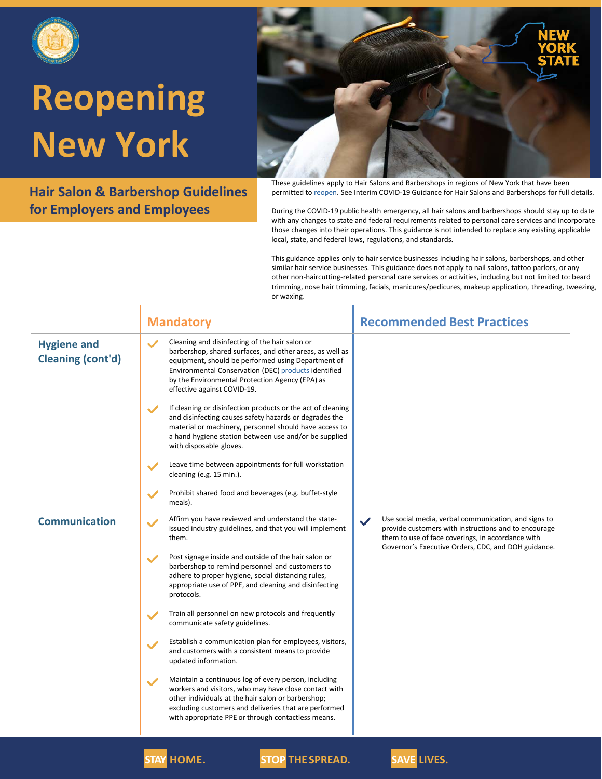

**Hair Salon & Barbershop Guidelines for Employers and Employees**



These guidelines apply to Hair Salons and Barbershops in regions of New York that have been permitted to [reopen.](https://forward.ny.gov/regional-monitoring-dashboard) See Interim COVID-19 Guidance for Hair Salons and Barbershops for full details.

During the COVID-19 public health emergency, all hair salons and barbershops should stay up to date with any changes to state and federal requirements related to personal care services and incorporate those changes into their operations. This guidance is not intended to replace any existing applicable local, state, and federal laws, regulations, and standards.

This guidance applies only to hair service businesses including hair salons, barbershops, and other similar hair service businesses. This guidance does not apply to nail salons, tattoo parlors, or any other non-haircutting-related personal care services or activities, including but not limited to: beard trimming, nose hair trimming, facials, manicures/pedicures, makeup application, threading, tweezing, or waxing.

|                                                | <b>Mandatory</b>                                                                                                                                                                                                                                                                                                                                                                                          | <b>Recommended Best Practices</b>                                                                                                                                                                                                        |
|------------------------------------------------|-----------------------------------------------------------------------------------------------------------------------------------------------------------------------------------------------------------------------------------------------------------------------------------------------------------------------------------------------------------------------------------------------------------|------------------------------------------------------------------------------------------------------------------------------------------------------------------------------------------------------------------------------------------|
| <b>Hygiene and</b><br><b>Cleaning (cont'd)</b> | Cleaning and disinfecting of the hair salon or<br>$\checkmark$<br>barbershop, shared surfaces, and other areas, as well as<br>equipment, should be performed using Department of<br>Environmental Conservation (DEC) products identified<br>by the Environmental Protection Agency (EPA) as<br>effective against COVID-19.<br>If cleaning or disinfection products or the act of cleaning<br>$\checkmark$ |                                                                                                                                                                                                                                          |
|                                                | and disinfecting causes safety hazards or degrades the<br>material or machinery, personnel should have access to<br>a hand hygiene station between use and/or be supplied<br>with disposable gloves.                                                                                                                                                                                                      |                                                                                                                                                                                                                                          |
|                                                | Leave time between appointments for full workstation<br>$\checkmark$<br>cleaning (e.g. 15 min.).                                                                                                                                                                                                                                                                                                          |                                                                                                                                                                                                                                          |
|                                                | Prohibit shared food and beverages (e.g. buffet-style<br>meals).                                                                                                                                                                                                                                                                                                                                          |                                                                                                                                                                                                                                          |
| <b>Communication</b>                           | Affirm you have reviewed and understand the state-<br>issued industry guidelines, and that you will implement<br>them.                                                                                                                                                                                                                                                                                    | Use social media, verbal communication, and signs to<br>$\checkmark$<br>provide customers with instructions and to encourage<br>them to use of face coverings, in accordance with<br>Governor's Executive Orders, CDC, and DOH guidance. |
|                                                | Post signage inside and outside of the hair salon or<br>barbershop to remind personnel and customers to<br>adhere to proper hygiene, social distancing rules,<br>appropriate use of PPE, and cleaning and disinfecting<br>protocols.                                                                                                                                                                      |                                                                                                                                                                                                                                          |
|                                                | Train all personnel on new protocols and frequently<br>$\checkmark$<br>communicate safety guidelines.                                                                                                                                                                                                                                                                                                     |                                                                                                                                                                                                                                          |
|                                                | Establish a communication plan for employees, visitors,<br>and customers with a consistent means to provide<br>updated information.                                                                                                                                                                                                                                                                       |                                                                                                                                                                                                                                          |
|                                                | Maintain a continuous log of every person, including<br>$\checkmark$<br>workers and visitors, who may have close contact with<br>other individuals at the hair salon or barbershop;<br>excluding customers and deliveries that are performed<br>with appropriate PPE or through contactless means.                                                                                                        |                                                                                                                                                                                                                                          |
|                                                |                                                                                                                                                                                                                                                                                                                                                                                                           |                                                                                                                                                                                                                                          |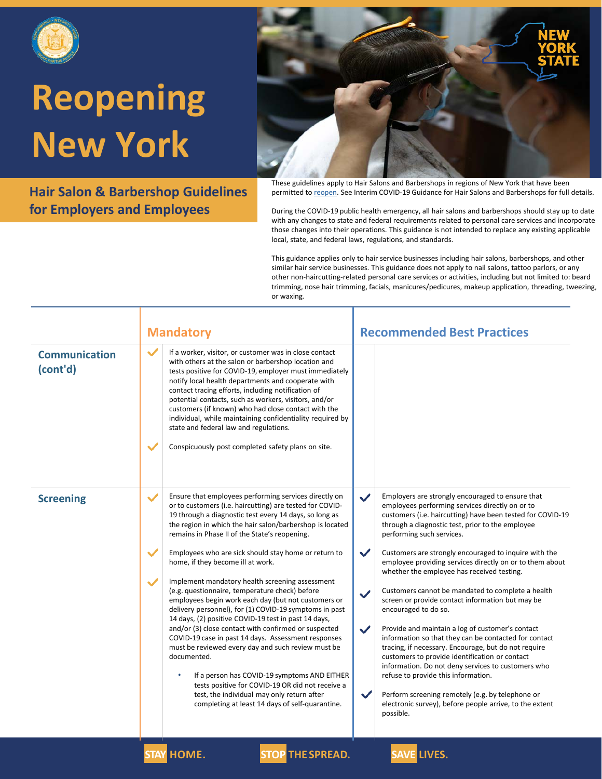

**Hair Salon & Barbershop Guidelines for Employers and Employees**



These guidelines apply to Hair Salons and Barbershops in regions of New York that have been permitted to [reopen.](https://forward.ny.gov/regional-monitoring-dashboard) See Interim COVID-19 Guidance for Hair Salons and Barbershops for full details.

During the COVID-19 public health emergency, all hair salons and barbershops should stay up to date with any changes to state and federal requirements related to personal care services and incorporate those changes into their operations. This guidance is not intended to replace any existing applicable local, state, and federal laws, regulations, and standards.

This guidance applies only to hair service businesses including hair salons, barbershops, and other similar hair service businesses. This guidance does not apply to nail salons, tattoo parlors, or any other non-haircutting-related personal care services or activities, including but not limited to: beard trimming, nose hair trimming, facials, manicures/pedicures, makeup application, threading, tweezing, or waxing.

|                                  | <b>Mandatory</b>                                                                                                                                                                                                                                                                                                                                                                                                                                                                                                                                                                                                                                                                                                                                                                                                                                                                                                                                                                                                                                                                                                          | <b>Recommended Best Practices</b>                                                                                                                                                                                                                                                                                                                                                                                                                                                                                                                                                                                                                                                                                                                                                                                                                                                                                                                                                                                                                                                      |
|----------------------------------|---------------------------------------------------------------------------------------------------------------------------------------------------------------------------------------------------------------------------------------------------------------------------------------------------------------------------------------------------------------------------------------------------------------------------------------------------------------------------------------------------------------------------------------------------------------------------------------------------------------------------------------------------------------------------------------------------------------------------------------------------------------------------------------------------------------------------------------------------------------------------------------------------------------------------------------------------------------------------------------------------------------------------------------------------------------------------------------------------------------------------|----------------------------------------------------------------------------------------------------------------------------------------------------------------------------------------------------------------------------------------------------------------------------------------------------------------------------------------------------------------------------------------------------------------------------------------------------------------------------------------------------------------------------------------------------------------------------------------------------------------------------------------------------------------------------------------------------------------------------------------------------------------------------------------------------------------------------------------------------------------------------------------------------------------------------------------------------------------------------------------------------------------------------------------------------------------------------------------|
| <b>Communication</b><br>(cont'd) | $\checkmark$<br>If a worker, visitor, or customer was in close contact<br>with others at the salon or barbershop location and<br>tests positive for COVID-19, employer must immediately<br>notify local health departments and cooperate with<br>contact tracing efforts, including notification of<br>potential contacts, such as workers, visitors, and/or<br>customers (if known) who had close contact with the<br>individual, while maintaining confidentiality required by<br>state and federal law and regulations.<br>$\checkmark$<br>Conspicuously post completed safety plans on site.                                                                                                                                                                                                                                                                                                                                                                                                                                                                                                                          |                                                                                                                                                                                                                                                                                                                                                                                                                                                                                                                                                                                                                                                                                                                                                                                                                                                                                                                                                                                                                                                                                        |
| <b>Screening</b>                 | Ensure that employees performing services directly on<br>$\checkmark$<br>or to customers (i.e. haircutting) are tested for COVID-<br>19 through a diagnostic test every 14 days, so long as<br>the region in which the hair salon/barbershop is located<br>remains in Phase II of the State's reopening.<br>$\checkmark$<br>Employees who are sick should stay home or return to<br>home, if they become ill at work.<br>Implement mandatory health screening assessment<br>$\checkmark$<br>(e.g. questionnaire, temperature check) before<br>employees begin work each day (but not customers or<br>delivery personnel), for (1) COVID-19 symptoms in past<br>14 days, (2) positive COVID-19 test in past 14 days,<br>and/or (3) close contact with confirmed or suspected<br>COVID-19 case in past 14 days. Assessment responses<br>must be reviewed every day and such review must be<br>documented.<br>If a person has COVID-19 symptoms AND EITHER<br>$\bullet$<br>tests positive for COVID-19 OR did not receive a<br>test, the individual may only return after<br>completing at least 14 days of self-quarantine. | Employers are strongly encouraged to ensure that<br>$\checkmark$<br>employees performing services directly on or to<br>customers (i.e. haircutting) have been tested for COVID-19<br>through a diagnostic test, prior to the employee<br>performing such services.<br>$\checkmark$<br>Customers are strongly encouraged to inquire with the<br>employee providing services directly on or to them about<br>whether the employee has received testing.<br>Customers cannot be mandated to complete a health<br>$\checkmark$<br>screen or provide contact information but may be<br>encouraged to do so.<br>Provide and maintain a log of customer's contact<br>$\checkmark$<br>information so that they can be contacted for contact<br>tracing, if necessary. Encourage, but do not require<br>customers to provide identification or contact<br>information. Do not deny services to customers who<br>refuse to provide this information.<br>$\checkmark$<br>Perform screening remotely (e.g. by telephone or<br>electronic survey), before people arrive, to the extent<br>possible. |
|                                  | <b>STAY HOME.</b><br><b>STOP THE SPREAD.</b>                                                                                                                                                                                                                                                                                                                                                                                                                                                                                                                                                                                                                                                                                                                                                                                                                                                                                                                                                                                                                                                                              | <b>SAVE LIVES.</b>                                                                                                                                                                                                                                                                                                                                                                                                                                                                                                                                                                                                                                                                                                                                                                                                                                                                                                                                                                                                                                                                     |